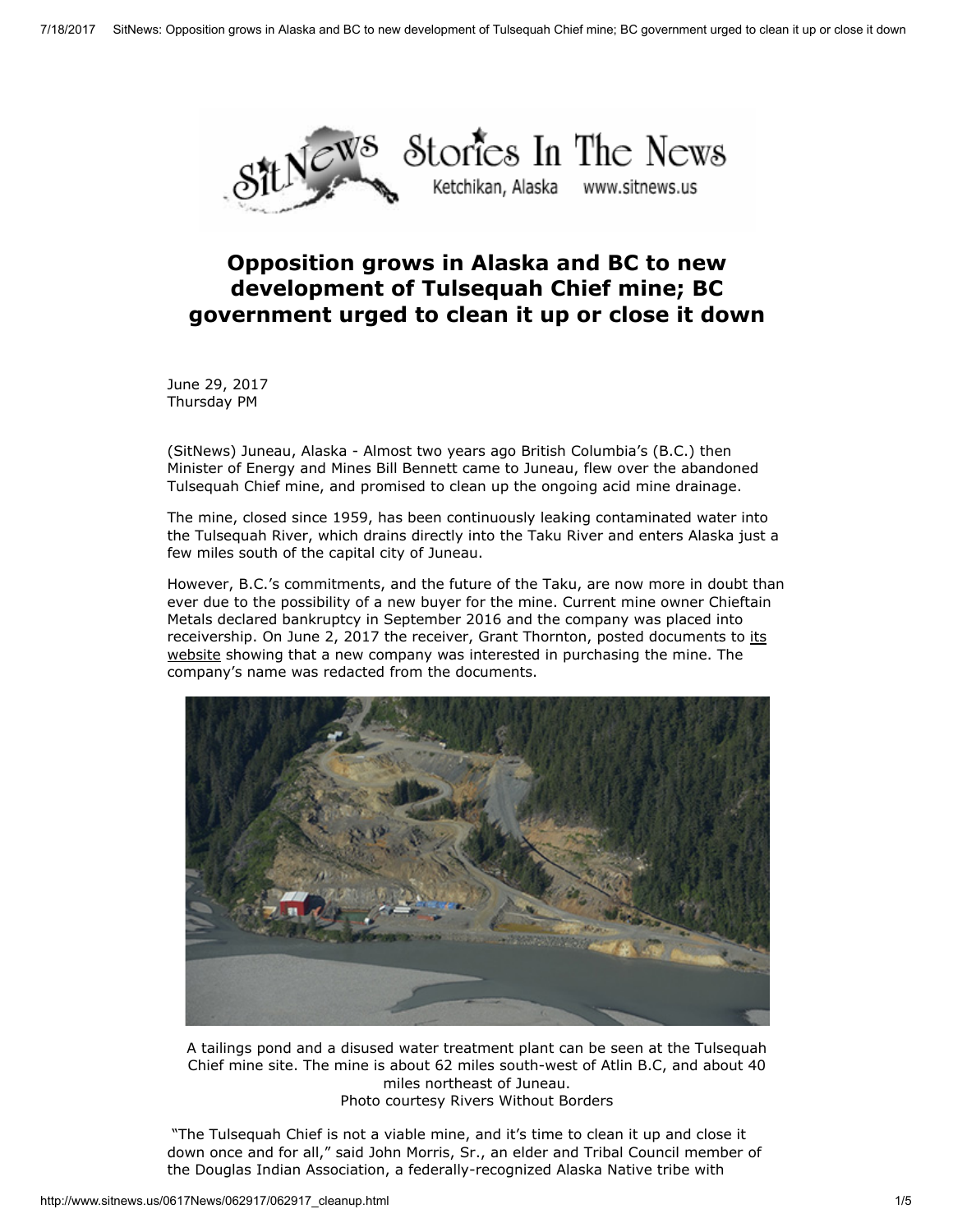

## Opposition grows in Alaska and BC to new development of Tulsequah Chief mine; BC government urged to clean it up or close it down

June 29, 2017 Thursday PM

(SitNews) Juneau, Alaska - Almost two years ago British Columbia's (B.C.) then Minister of Energy and Mines Bill Bennett came to Juneau, flew over the abandoned Tulsequah Chief mine, and promised to clean up the ongoing acid mine drainage.

The mine, closed since 1959, has been continuously leaking contaminated water into the Tulsequah River, which drains directly into the Taku River and enters Alaska just a few miles south of the capital city of Juneau.

However, B.C.'s commitments, and the future of the Taku, are now more in doubt than ever due to the possibility of a new buyer for the mine. Current mine owner Chieftain Metals declared bankruptcy in September 2016 and the company was placed into [receivership.](https://www.grantthornton.ca/services/reorg/bankruptcy_and_insolvency/Chieftain-Metals) On June 2, 2017 the receiver, Grant Thornton, posted documents to its website showing that a new company was interested in purchasing the mine. The company's name was redacted from the documents.



A tailings pond and a disused water treatment plant can be seen at the Tulsequah Chief mine site. The mine is about 62 miles south-west of Atlin B.C, and about 40 miles northeast of Juneau. Photo courtesy Rivers Without Borders

"The Tulsequah Chief is not a viable mine, and it's time to clean it up and close it down once and for all," said John Morris, Sr., an elder and Tribal Council member of the Douglas Indian Association, a federally-recognized Alaska Native tribe with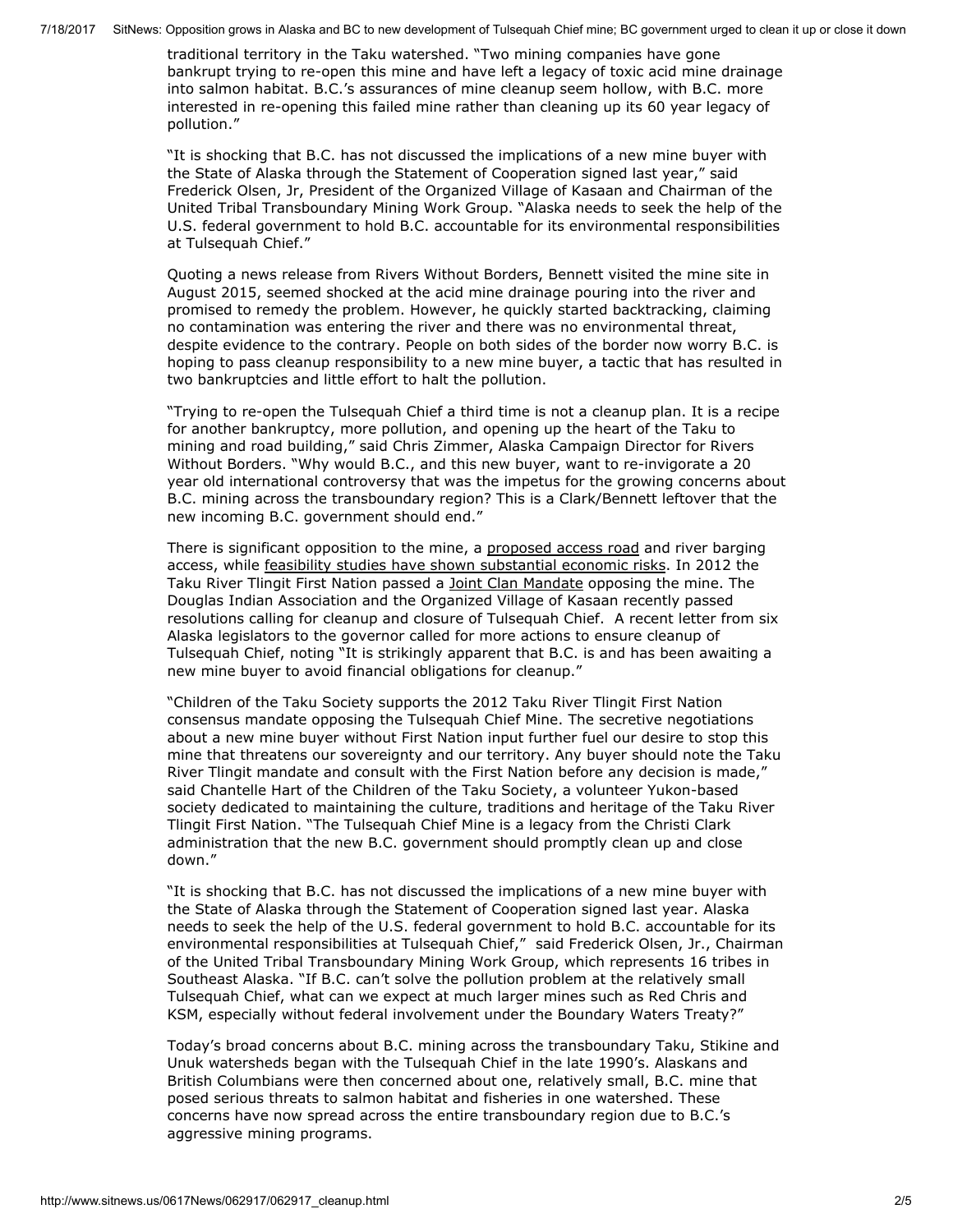7/18/2017 SitNews: Opposition grows in Alaska and BC to new development of Tulsequah Chief mine; BC government urged to clean it up or close it down

traditional territory in the Taku watershed. "Two mining companies have gone bankrupt trying to re-open this mine and have left a legacy of toxic acid mine drainage into salmon habitat. B.C.'s assurances of mine cleanup seem hollow, with B.C. more interested in re-opening this failed mine rather than cleaning up its 60 year legacy of pollution."

"It is shocking that B.C. has not discussed the implications of a new mine buyer with the State of Alaska through the Statement of Cooperation signed last year," said Frederick Olsen, Jr, President of the Organized Village of Kasaan and Chairman of the United Tribal Transboundary Mining Work Group. "Alaska needs to seek the help of the U.S. federal government to hold B.C. accountable for its environmental responsibilities at Tulsequah Chief."

Quoting a news release from Rivers Without Borders, Bennett visited the mine site in August 2015, seemed shocked at the acid mine drainage pouring into the river and promised to remedy the problem. However, he quickly started backtracking, claiming no contamination was entering the river and there was no environmental threat, despite evidence to the contrary. People on both sides of the border now worry B.C. is hoping to pass cleanup responsibility to a new mine buyer, a tactic that has resulted in two bankruptcies and little effort to halt the pollution.

"Trying to re-open the Tulsequah Chief a third time is not a cleanup plan. It is a recipe for another bankruptcy, more pollution, and opening up the heart of the Taku to mining and road building," said Chris Zimmer, Alaska Campaign Director for Rivers Without Borders. "Why would B.C., and this new buyer, want to re-invigorate a 20 year old international controversy that was the impetus for the growing concerns about B.C. mining across the transboundary region? This is a Clark/Bennett leftover that the new incoming B.C. government should end."

There is significant opposition to the mine, a [proposed](http://casebrief.wikia.com/wiki/Taku_River_Tlingit_First_Nation_v_British_Columbia_(Project_Assessment_Director)) access road and river barging access, while feasibility studies have shown [substantial](http://riverswithoutborders.org/blog/2013/04/tulsequah-chief-mine-proposal-extremely-risky) economic risks. In 2012 the Taku River Tlingit First Nation passed a Joint Clan [Mandate](http://www.marketwired.com/press-release/taku-river-tlingit-joint-clan-forum-rejects-proposed-tulsequah-chief-project-1731312.htm) opposing the mine. The Douglas Indian Association and the Organized Village of Kasaan recently passed resolutions calling for cleanup and closure of Tulsequah Chief. A recent letter from six Alaska legislators to the governor called for more actions to ensure cleanup of Tulsequah Chief, noting "It is strikingly apparent that B.C. is and has been awaiting a new mine buyer to avoid financial obligations for cleanup."

"Children of the Taku Society supports the 2012 Taku River Tlingit First Nation consensus mandate opposing the Tulsequah Chief Mine. The secretive negotiations about a new mine buyer without First Nation input further fuel our desire to stop this mine that threatens our sovereignty and our territory. Any buyer should note the Taku River Tlingit mandate and consult with the First Nation before any decision is made," said Chantelle Hart of the Children of the Taku Society, a volunteer Yukon-based society dedicated to maintaining the culture, traditions and heritage of the Taku River Tlingit First Nation. "The Tulsequah Chief Mine is a legacy from the Christi Clark administration that the new B.C. government should promptly clean up and close down."

"It is shocking that B.C. has not discussed the implications of a new mine buyer with the State of Alaska through the Statement of Cooperation signed last year. Alaska needs to seek the help of the U.S. federal government to hold B.C. accountable for its environmental responsibilities at Tulsequah Chief," said Frederick Olsen, Jr., Chairman of the United Tribal Transboundary Mining Work Group, which represents 16 tribes in Southeast Alaska. "If B.C. can't solve the pollution problem at the relatively small Tulsequah Chief, what can we expect at much larger mines such as Red Chris and KSM, especially without federal involvement under the Boundary Waters Treaty?"

Today's broad concerns about B.C. mining across the transboundary Taku, Stikine and Unuk watersheds began with the Tulsequah Chief in the late 1990's. Alaskans and British Columbians were then concerned about one, relatively small, B.C. mine that posed serious threats to salmon habitat and fisheries in one watershed. These concerns have now spread across the entire transboundary region due to B.C.'s aggressive mining programs.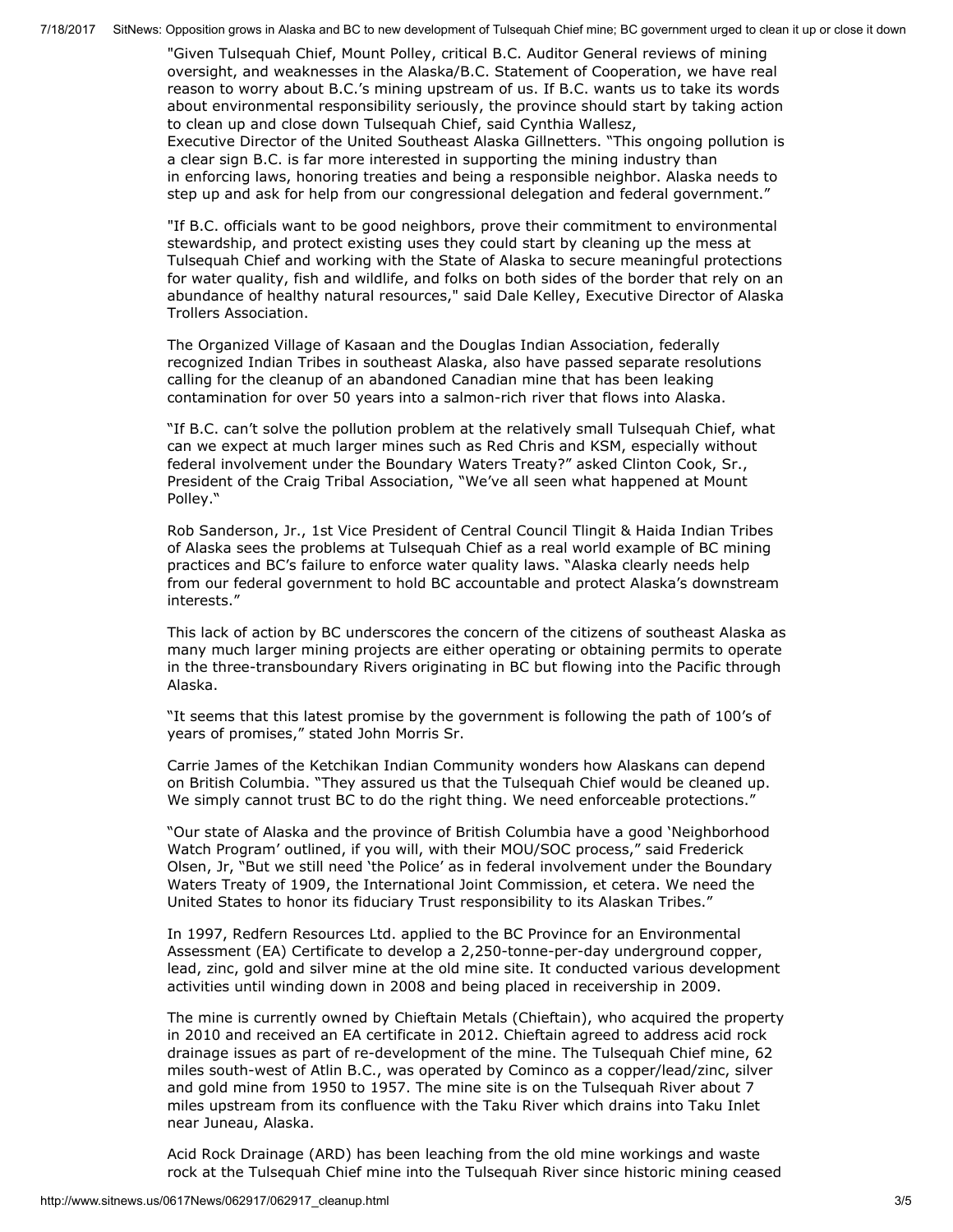7/18/2017 SitNews: Opposition grows in Alaska and BC to new development of Tulsequah Chief mine; BC government urged to clean it up or close it down

"Given Tulsequah Chief, Mount Polley, critical B.C. Auditor General reviews of mining oversight, and weaknesses in the Alaska/B.C. Statement of Cooperation, we have real reason to worry about B.C.'s mining upstream of us. If B.C. wants us to take its words about environmental responsibility seriously, the province should start by taking action to clean up and close down Tulsequah Chief, said Cynthia Wallesz, Executive Director of the United Southeast Alaska Gillnetters. "This ongoing pollution is a clear sign B.C. is far more interested in supporting the mining industry than in enforcing laws, honoring treaties and being a responsible neighbor. Alaska needs to step up and ask for help from our congressional delegation and federal government."

"If B.C. officials want to be good neighbors, prove their commitment to environmental stewardship, and protect existing uses they could start by cleaning up the mess at Tulsequah Chief and working with the State of Alaska to secure meaningful protections for water quality, fish and wildlife, and folks on both sides of the border that rely on an abundance of healthy natural resources," said Dale Kelley, Executive Director of Alaska Trollers Association.

The Organized Village of Kasaan and the Douglas Indian Association, federally recognized Indian Tribes in southeast Alaska, also have passed separate resolutions calling for the cleanup of an abandoned Canadian mine that has been leaking contamination for over 50 years into a salmon-rich river that flows into Alaska.

"If B.C. can't solve the pollution problem at the relatively small Tulsequah Chief, what can we expect at much larger mines such as Red Chris and KSM, especially without federal involvement under the Boundary Waters Treaty?" asked Clinton Cook, Sr., President of the Craig Tribal Association, "We've all seen what happened at Mount Polley."

Rob Sanderson, Jr., 1st Vice President of Central Council Tlingit & Haida Indian Tribes of Alaska sees the problems at Tulsequah Chief as a real world example of BC mining practices and BC's failure to enforce water quality laws. "Alaska clearly needs help from our federal government to hold BC accountable and protect Alaska's downstream interests."

This lack of action by BC underscores the concern of the citizens of southeast Alaska as many much larger mining projects are either operating or obtaining permits to operate in the three-transboundary Rivers originating in BC but flowing into the Pacific through Alaska.

"It seems that this latest promise by the government is following the path of 100's of years of promises," stated John Morris Sr.

Carrie James of the Ketchikan Indian Community wonders how Alaskans can depend on British Columbia. "They assured us that the Tulsequah Chief would be cleaned up. We simply cannot trust BC to do the right thing. We need enforceable protections."

"Our state of Alaska and the province of British Columbia have a good 'Neighborhood Watch Program' outlined, if you will, with their MOU/SOC process," said Frederick Olsen, Jr, "But we still need 'the Police' as in federal involvement under the Boundary Waters Treaty of 1909, the International Joint Commission, et cetera. We need the United States to honor its fiduciary Trust responsibility to its Alaskan Tribes."

In 1997, Redfern Resources Ltd. applied to the BC Province for an Environmental Assessment (EA) Certificate to develop a 2,250-tonne-per-day underground copper, lead, zinc, gold and silver mine at the old mine site. It conducted various development activities until winding down in 2008 and being placed in receivership in 2009.

The mine is currently owned by Chieftain Metals (Chieftain), who acquired the property in 2010 and received an EA certificate in 2012. Chieftain agreed to address acid rock drainage issues as part of re-development of the mine. The Tulsequah Chief mine, 62 miles south-west of Atlin B.C., was operated by Cominco as a copper/lead/zinc, silver and gold mine from 1950 to 1957. The mine site is on the Tulsequah River about 7 miles upstream from its confluence with the Taku River which drains into Taku Inlet near Juneau, Alaska.

Acid Rock Drainage (ARD) has been leaching from the old mine workings and waste rock at the Tulsequah Chief mine into the Tulsequah River since historic mining ceased